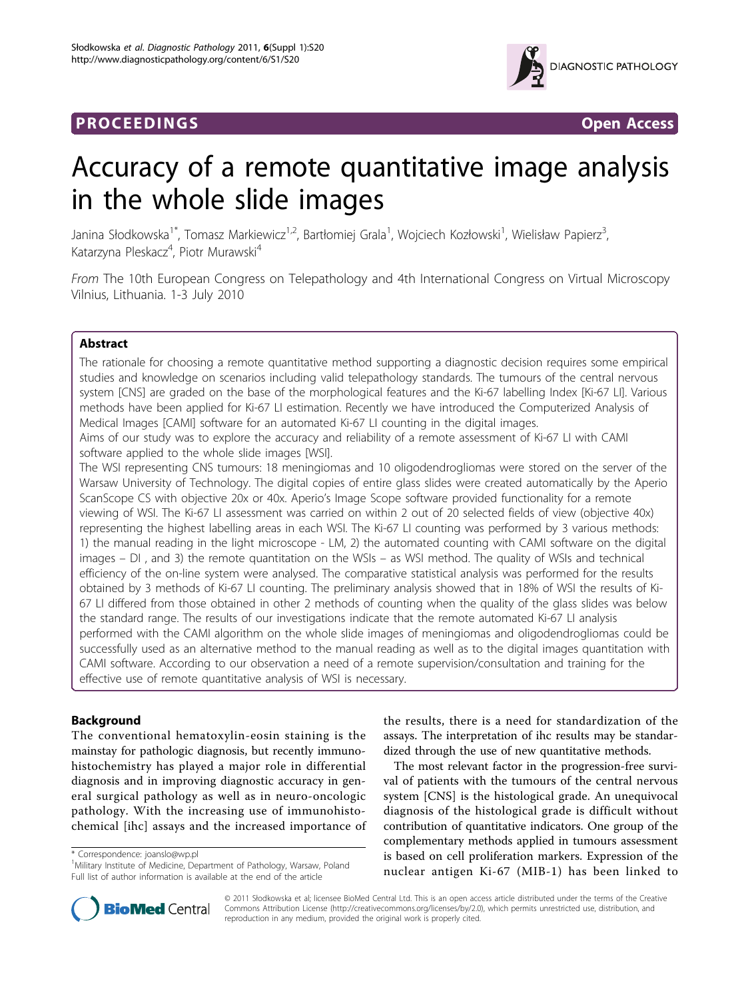## **PROCEEDINGS CONSIDERING S** Open Access



# Accuracy of a remote quantitative image analysis in the whole slide images

Janina Słodkowska<sup>1\*</sup>, Tomasz Markiewicz<sup>1,2</sup>, Bartłomiej Grala<sup>1</sup>, Wojciech Kozłowski<sup>1</sup>, Wielisław Papierz<sup>3</sup> , Katarzyna Pleskacz<sup>4</sup>, Piotr Murawski<sup>4</sup>

From The 10th European Congress on Telepathology and 4th International Congress on Virtual Microscopy Vilnius, Lithuania. 1-3 July 2010

## Abstract

The rationale for choosing a remote quantitative method supporting a diagnostic decision requires some empirical studies and knowledge on scenarios including valid telepathology standards. The tumours of the central nervous system [CNS] are graded on the base of the morphological features and the Ki-67 labelling Index [Ki-67 LI]. Various methods have been applied for Ki-67 LI estimation. Recently we have introduced the Computerized Analysis of Medical Images [CAMI] software for an automated Ki-67 LI counting in the digital images.

Aims of our study was to explore the accuracy and reliability of a remote assessment of Ki-67 LI with CAMI software applied to the whole slide images [WSI].

The WSI representing CNS tumours: 18 meningiomas and 10 oligodendrogliomas were stored on the server of the Warsaw University of Technology. The digital copies of entire glass slides were created automatically by the Aperio ScanScope CS with objective 20x or 40x. Aperio's Image Scope software provided functionality for a remote viewing of WSI. The Ki-67 LI assessment was carried on within 2 out of 20 selected fields of view (objective 40x) representing the highest labelling areas in each WSI. The Ki-67 LI counting was performed by 3 various methods: 1) the manual reading in the light microscope - LM, 2) the automated counting with CAMI software on the digital images – DI , and 3) the remote quantitation on the WSIs – as WSI method. The quality of WSIs and technical efficiency of the on-line system were analysed. The comparative statistical analysis was performed for the results obtained by 3 methods of Ki-67 LI counting. The preliminary analysis showed that in 18% of WSI the results of Ki-67 LI differed from those obtained in other 2 methods of counting when the quality of the glass slides was below the standard range. The results of our investigations indicate that the remote automated Ki-67 LI analysis performed with the CAMI algorithm on the whole slide images of meningiomas and oligodendrogliomas could be successfully used as an alternative method to the manual reading as well as to the digital images quantitation with CAMI software. According to our observation a need of a remote supervision/consultation and training for the effective use of remote quantitative analysis of WSI is necessary.

## Background

The conventional hematoxylin-eosin staining is the mainstay for pathologic diagnosis, but recently immunohistochemistry has played a major role in differential diagnosis and in improving diagnostic accuracy in general surgical pathology as well as in neuro-oncologic pathology. With the increasing use of immunohistochemical [ihc] assays and the increased importance of

\* Correspondence: [joanslo@wp.pl](mailto:joanslo@wp.pl)

the results, there is a need for standardization of the assays. The interpretation of ihc results may be standardized through the use of new quantitative methods.

The most relevant factor in the progression-free survival of patients with the tumours of the central nervous system [CNS] is the histological grade. An unequivocal diagnosis of the histological grade is difficult without contribution of quantitative indicators. One group of the complementary methods applied in tumours assessment is based on cell proliferation markers. Expression of the nuclear antigen Ki-67 (MIB-1) has been linked to



© 2011 Słodkowska et al; licensee BioMed Central Ltd. This is an open access article distributed under the terms of the Creative Commons Attribution License [\(http://creativecommons.org/licenses/by/2.0](http://creativecommons.org/licenses/by/2.0)), which permits unrestricted use, distribution, and reproduction in any medium, provided the original work is properly cited.

<sup>&</sup>lt;sup>1</sup>Military Institute of Medicine, Department of Pathology, Warsaw, Poland Full list of author information is available at the end of the article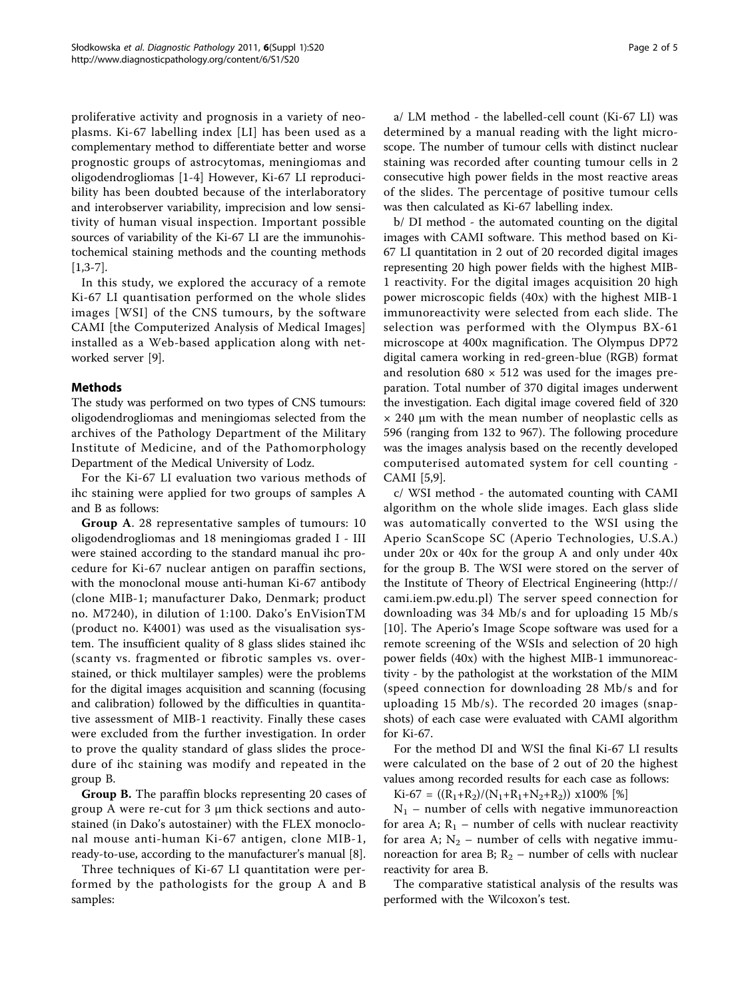proliferative activity and prognosis in a variety of neoplasms. Ki-67 labelling index [LI] has been used as a complementary method to differentiate better and worse prognostic groups of astrocytomas, meningiomas and oligodendrogliomas [\[1](#page-4-0)-[4\]](#page-4-0) However, Ki-67 LI reproducibility has been doubted because of the interlaboratory and interobserver variability, imprecision and low sensitivity of human visual inspection. Important possible sources of variability of the Ki-67 LI are the immunohistochemical staining methods and the counting methods [[1,3-7](#page-4-0)].

In this study, we explored the accuracy of a remote Ki-67 LI quantisation performed on the whole slides images [WSI] of the CNS tumours, by the software CAMI [the Computerized Analysis of Medical Images] installed as a Web-based application along with networked server [[9\]](#page-4-0).

## **Methods**

The study was performed on two types of CNS tumours: oligodendrogliomas and meningiomas selected from the archives of the Pathology Department of the Military Institute of Medicine, and of the Pathomorphology Department of the Medical University of Lodz.

For the Ki-67 LI evaluation two various methods of ihc staining were applied for two groups of samples A and B as follows:

Group A. 28 representative samples of tumours: 10 oligodendrogliomas and 18 meningiomas graded I - III were stained according to the standard manual ihc procedure for Ki-67 nuclear antigen on paraffin sections, with the monoclonal mouse anti-human Ki-67 antibody (clone MIB-1; manufacturer Dako, Denmark; product no. M7240), in dilution of 1:100. Dako's EnVisionTM (product no. K4001) was used as the visualisation system. The insufficient quality of 8 glass slides stained ihc (scanty vs. fragmented or fibrotic samples vs. overstained, or thick multilayer samples) were the problems for the digital images acquisition and scanning (focusing and calibration) followed by the difficulties in quantitative assessment of MIB-1 reactivity. Finally these cases were excluded from the further investigation. In order to prove the quality standard of glass slides the procedure of ihc staining was modify and repeated in the group B.

Group B. The paraffin blocks representing 20 cases of group A were re-cut for 3 μm thick sections and autostained (in Dako's autostainer) with the FLEX monoclonal mouse anti-human Ki-67 antigen, clone MIB-1, ready-to-use, according to the manufacturer's manual [\[8](#page-4-0)].

Three techniques of Ki-67 LI quantitation were performed by the pathologists for the group A and B samples:

a/ LM method - the labelled-cell count (Ki-67 LI) was determined by a manual reading with the light microscope. The number of tumour cells with distinct nuclear staining was recorded after counting tumour cells in 2 consecutive high power fields in the most reactive areas of the slides. The percentage of positive tumour cells was then calculated as Ki-67 labelling index.

b/ DI method - the automated counting on the digital images with CAMI software. This method based on Ki-67 LI quantitation in 2 out of 20 recorded digital images representing 20 high power fields with the highest MIB-1 reactivity. For the digital images acquisition 20 high power microscopic fields (40x) with the highest MIB-1 immunoreactivity were selected from each slide. The selection was performed with the Olympus BX-61 microscope at 400x magnification. The Olympus DP72 digital camera working in red-green-blue (RGB) format and resolution  $680 \times 512$  was used for the images preparation. Total number of 370 digital images underwent the investigation. Each digital image covered field of 320  $\times$  240 µm with the mean number of neoplastic cells as 596 (ranging from 132 to 967). The following procedure was the images analysis based on the recently developed computerised automated system for cell counting - CAMI [[5,9\]](#page-4-0).

c/ WSI method - the automated counting with CAMI algorithm on the whole slide images. Each glass slide was automatically converted to the WSI using the Aperio ScanScope SC (Aperio Technologies, U.S.A.) under 20x or 40x for the group A and only under 40x for the group B. The WSI were stored on the server of the Institute of Theory of Electrical Engineering [\(http://](http://cami.iem.pw.edu.pl) [cami.iem.pw.edu.pl](http://cami.iem.pw.edu.pl)) The server speed connection for downloading was 34 Mb/s and for uploading 15 Mb/s [[10\]](#page-4-0). The Aperio's Image Scope software was used for a remote screening of the WSIs and selection of 20 high power fields (40x) with the highest MIB-1 immunoreactivity - by the pathologist at the workstation of the MIM (speed connection for downloading 28 Mb/s and for uploading 15 Mb/s). The recorded 20 images (snapshots) of each case were evaluated with CAMI algorithm for Ki-67.

For the method DI and WSI the final Ki-67 LI results were calculated on the base of 2 out of 20 the highest values among recorded results for each case as follows:

 $Ki-67 = ((R_1+R_2)/(N_1+R_1+N_2+R_2))$  x100% [%]

 $N_1$  – number of cells with negative immunoreaction for area A;  $R_1$  – number of cells with nuclear reactivity for area A;  $N_2$  – number of cells with negative immunoreaction for area B;  $R_2$  – number of cells with nuclear reactivity for area B.

The comparative statistical analysis of the results was performed with the Wilcoxon's test.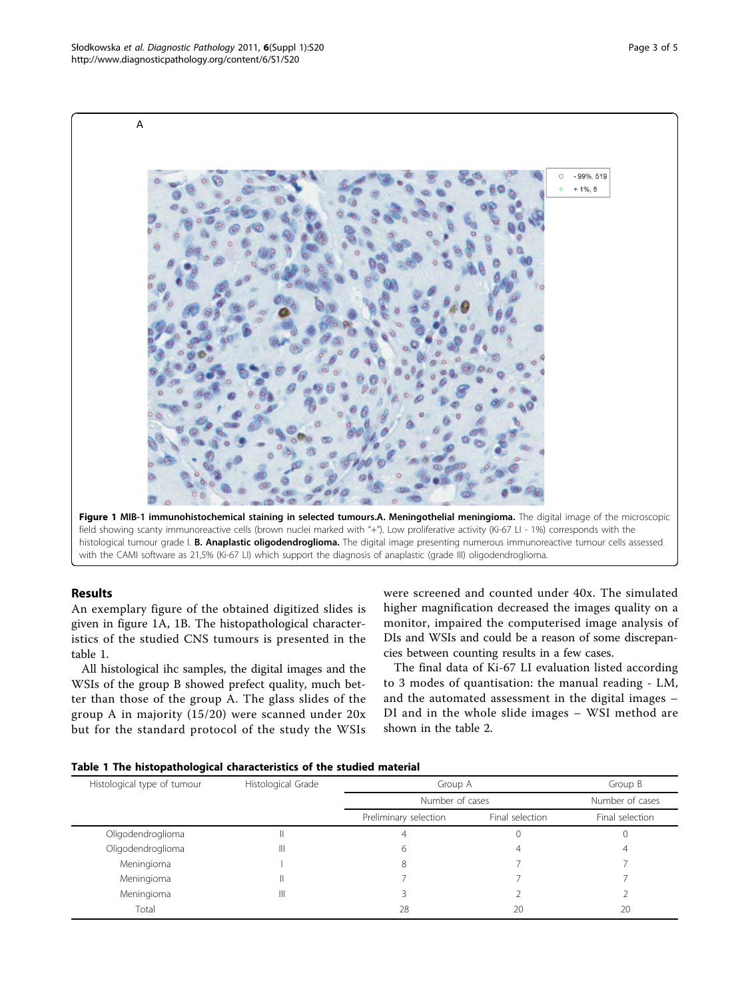

#### with the CAMI software as 21,5% (Ki-67 LI) which support the diagnosis of anaplastic (grade III) oligodendroglioma.

## Results

An exemplary figure of the obtained digitized slides is given in figure 1A, 1B. The histopathological characteristics of the studied CNS tumours is presented in the table 1.

All histological ihc samples, the digital images and the WSIs of the group B showed prefect quality, much better than those of the group A. The glass slides of the group A in majority (15/20) were scanned under 20x but for the standard protocol of the study the WSIs were screened and counted under 40x. The simulated higher magnification decreased the images quality on a monitor, impaired the computerised image analysis of DIs and WSIs and could be a reason of some discrepancies between counting results in a few cases.

The final data of Ki-67 LI evaluation listed according to 3 modes of quantisation: the manual reading - LM, and the automated assessment in the digital images – DI and in the whole slide images – WSI method are shown in the table [2](#page-3-0).

|  |  | Table 1 The histopathological characteristics of the studied material |  |  |  |  |
|--|--|-----------------------------------------------------------------------|--|--|--|--|
|--|--|-----------------------------------------------------------------------|--|--|--|--|

| Histological type of tumour | Histological Grade | Group A               | Group B         |                 |
|-----------------------------|--------------------|-----------------------|-----------------|-----------------|
|                             |                    | Number of cases       |                 | Number of cases |
|                             |                    | Preliminary selection | Final selection | Final selection |
| Oligodendroglioma           | Ш                  |                       |                 |                 |
| Oligodendroglioma           | Ш                  | h                     |                 |                 |
| Meningioma                  |                    |                       |                 |                 |
| Meningioma                  |                    |                       |                 |                 |
| Meningioma                  | Ш                  |                       |                 |                 |
| Total                       |                    | 28                    | 20              | 20              |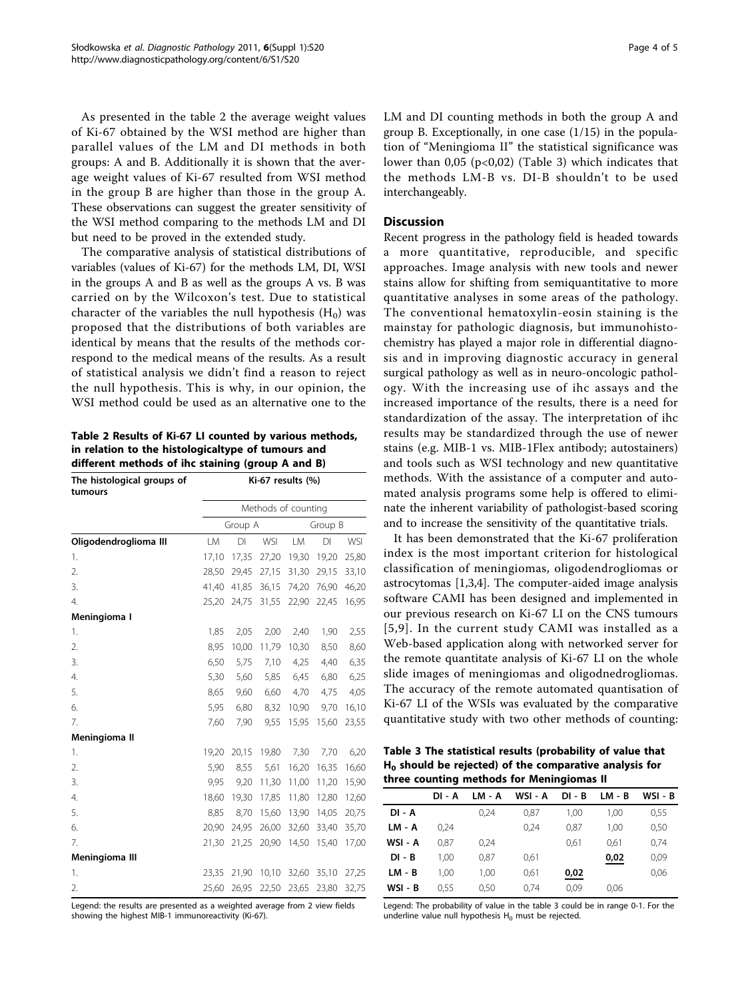<span id="page-3-0"></span>As presented in the table 2 the average weight values of Ki-67 obtained by the WSI method are higher than parallel values of the LM and DI methods in both groups: A and B. Additionally it is shown that the average weight values of Ki-67 resulted from WSI method in the group B are higher than those in the group A. These observations can suggest the greater sensitivity of the WSI method comparing to the methods LM and DI but need to be proved in the extended study.

The comparative analysis of statistical distributions of variables (values of Ki-67) for the methods LM, DI, WSI in the groups A and B as well as the groups A vs. B was carried on by the Wilcoxon's test. Due to statistical character of the variables the null hypothesis  $(H_0)$  was proposed that the distributions of both variables are identical by means that the results of the methods correspond to the medical means of the results. As a result of statistical analysis we didn't find a reason to reject the null hypothesis. This is why, in our opinion, the WSI method could be used as an alternative one to the

Table 2 Results of Ki-67 LI counted by various methods, in relation to the histologicaltype of tumours and different methods of ihc staining (group A and B)

| The histological groups of<br>tumours | Ki-67 results (%)   |       |            |       |         |       |  |
|---------------------------------------|---------------------|-------|------------|-------|---------|-------|--|
|                                       | Methods of counting |       |            |       |         |       |  |
|                                       | Group A             |       |            |       | Group B |       |  |
| Oligodendroglioma III                 | LM                  | DI    | <b>WSI</b> | LM    | DI      | WSI   |  |
| 1.                                    | 17,10               | 17,35 | 27,20      | 19,30 | 19,20   | 25,80 |  |
| 2.                                    | 28,50               | 29,45 | 27,15      | 31,30 | 29,15   | 33,10 |  |
| 3.                                    | 41,40               | 41,85 | 36,15      | 74,20 | 76,90   | 46,20 |  |
| 4.                                    | 25,20               | 24,75 | 31,55      | 22,90 | 22,45   | 16,95 |  |
| Meningioma I                          |                     |       |            |       |         |       |  |
| 1.                                    | 1,85                | 2,05  | 2,00       | 2,40  | 1,90    | 2,55  |  |
| 2.                                    | 8,95                | 10,00 | 11,79      | 10,30 | 8,50    | 8,60  |  |
| 3.                                    | 6,50                | 5,75  | 7,10       | 4,25  | 4,40    | 6,35  |  |
| 4.                                    | 5,30                | 5,60  | 5,85       | 6,45  | 6,80    | 6,25  |  |
| 5.                                    | 8,65                | 9,60  | 6,60       | 4,70  | 4,75    | 4,05  |  |
| 6.                                    | 5,95                | 6,80  | 8,32       | 10,90 | 9,70    | 16,10 |  |
| 7.                                    | 7,60                | 7,90  | 9,55       | 15,95 | 15,60   | 23,55 |  |
| Meningioma II                         |                     |       |            |       |         |       |  |
| 1.                                    | 19,20               | 20,15 | 19,80      | 7,30  | 7,70    | 6,20  |  |
| 2.                                    | 5,90                | 8,55  | 5,61       | 16,20 | 16,35   | 16,60 |  |
| 3.                                    | 9,95                | 9,20  | 11,30      | 11,00 | 11,20   | 15,90 |  |
| 4.                                    | 18,60               | 19,30 | 17,85      | 11,80 | 12,80   | 12,60 |  |
| 5.                                    | 8,85                | 8,70  | 15,60      | 13,90 | 14,05   | 20,75 |  |
| 6.                                    | 20,90               | 24,95 | 26,00      | 32,60 | 33,40   | 35,70 |  |
| 7.                                    | 21,30               | 21,25 | 20,90      | 14,50 | 15,40   | 17,00 |  |
| Meningioma III                        |                     |       |            |       |         |       |  |
| 1.                                    | 23,35               | 21,90 | 10,10      | 32,60 | 35,10   | 27,25 |  |
| 2.                                    | 25,60               | 26,95 | 22,50      | 23,65 | 23,80   | 32,75 |  |

Legend: the results are presented as a weighted average from 2 view fields showing the highest MIB-1 immunoreactivity (Ki-67).

LM and DI counting methods in both the group A and group B. Exceptionally, in one case (1/15) in the population of "Meningioma II" the statistical significance was lower than  $0.05$  (p<0.02) (Table 3) which indicates that the methods LM-B vs. DI-B shouldn't to be used interchangeably.

## **Discussion**

Recent progress in the pathology field is headed towards a more quantitative, reproducible, and specific approaches. Image analysis with new tools and newer stains allow for shifting from semiquantitative to more quantitative analyses in some areas of the pathology. The conventional hematoxylin-eosin staining is the mainstay for pathologic diagnosis, but immunohistochemistry has played a major role in differential diagnosis and in improving diagnostic accuracy in general surgical pathology as well as in neuro-oncologic pathology. With the increasing use of ihc assays and the increased importance of the results, there is a need for standardization of the assay. The interpretation of ihc results may be standardized through the use of newer stains (e.g. MIB-1 vs. MIB-1Flex antibody; autostainers) and tools such as WSI technology and new quantitative methods. With the assistance of a computer and automated analysis programs some help is offered to eliminate the inherent variability of pathologist-based scoring and to increase the sensitivity of the quantitative trials.

It has been demonstrated that the Ki-67 proliferation index is the most important criterion for histological classification of meningiomas, oligodendrogliomas or astrocytomas [[1,3,4\]](#page-4-0). The computer-aided image analysis software CAMI has been designed and implemented in our previous research on Ki-67 LI on the CNS tumours [[5,9\]](#page-4-0). In the current study CAMI was installed as a Web-based application along with networked server for the remote quantitate analysis of Ki-67 LI on the whole slide images of meningiomas and oligodnedrogliomas. The accuracy of the remote automated quantisation of Ki-67 LI of the WSIs was evaluated by the comparative quantitative study with two other methods of counting:

Table 3 The statistical results (probability of value that  $H_0$  should be rejected) of the comparative analysis for three counting methods for Meningiomas II

| DI - A | LM - A | WSI - A | DI - B | LM - B | WSI - B |
|--------|--------|---------|--------|--------|---------|
|        | 0.24   | 0,87    | 1,00   | 1,00   | 0,55    |
| 0.24   |        | 0.24    | 0,87   | 1.00   | 0,50    |
| 0.87   | 0.24   |         | 0,61   | 0.61   | 0.74    |
| 1.00   | 0.87   | 0.61    |        | 0,02   | 0,09    |
| 1.00   | 1.00   | 0.61    | 0,02   |        | 0,06    |
| 0.55   | 0,50   | 0.74    | 0,09   | 0,06   |         |
|        |        |         |        |        |         |

Legend: The probability of value in the table 3 could be in range 0-1. For the underline value null hypothesis  $H_0$  must be rejected.